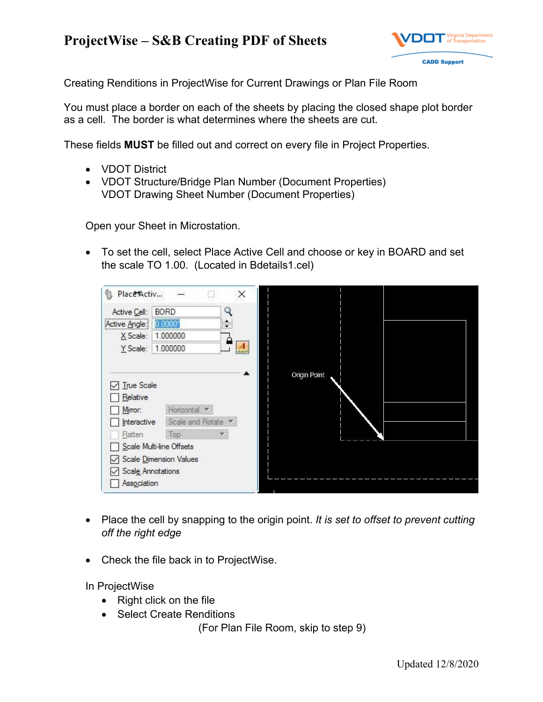## **ProjectWise – S&B Creating PDF of Sheets**



Creating Renditions in ProjectWise for Current Drawings or Plan File Room

You must place a border on each of the sheets by placing the closed shape plot border as a cell. The border is what determines where the sheets are cut.

These fields **MUST** be filled out and correct on every file in Project Properties.

- VDOT District
- VDOT Structure/Bridge Plan Number (Document Properties) VDOT Drawing Sheet Number (Document Properties)

Open your Sheet in Microstation.

 To set the cell, select Place Active Cell and choose or key in BOARD and set the scale TO 1.00. (Located in Bdetails1.cel)



- Place the cell by snapping to the origin point. *It is set to offset to prevent cutting off the right edge*
- Check the file back in to ProjectWise.

In ProjectWise

- Right click on the file
- Select Create Renditions

(For Plan File Room, skip to step 9)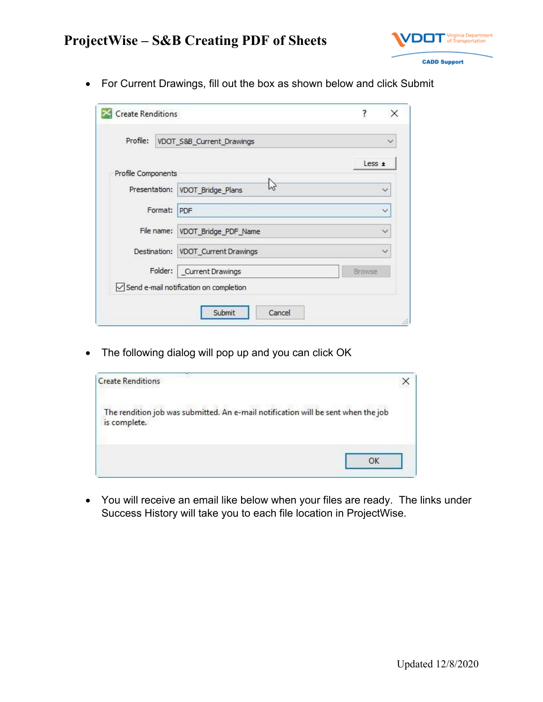

For Current Drawings, fill out the box as shown below and click Submit

| Profile:           | VDOT_S&B_Current_Drawings              | $\check{ }$  |
|--------------------|----------------------------------------|--------------|
|                    |                                        | Less ±       |
| Profile Components |                                        |              |
|                    | ΥY<br>Presentation: VDOT_Bridge_Plans  | $\checkmark$ |
| Format:            | PDF                                    | $\checkmark$ |
|                    | File name: VDOT_Bridge_PDF_Name        | $\checkmark$ |
|                    | Destination: VDOT_Current Drawings     |              |
| Folder:            | Current Drawings<br>Browse             |              |
|                    | Send e-mail notification on completion |              |

• The following dialog will pop up and you can click OK

| <b>Create Renditions</b>                                                                          |  |
|---------------------------------------------------------------------------------------------------|--|
| The rendition job was submitted. An e-mail notification will be sent when the job<br>is complete. |  |
|                                                                                                   |  |

 You will receive an email like below when your files are ready. The links under Success History will take you to each file location in ProjectWise.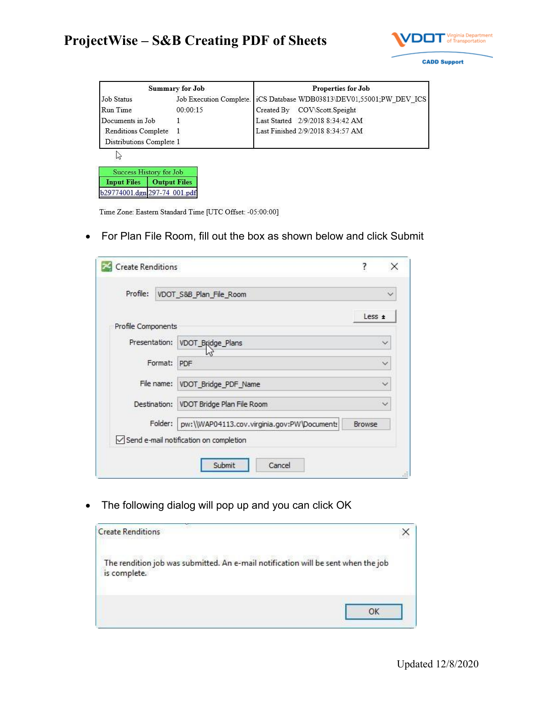

|                              | <b>Summary for Job</b>  | <b>Properties for Job</b>                    |
|------------------------------|-------------------------|----------------------------------------------|
| <b>Job Status</b>            | Job Execution Complete. | iCS Database WDB03813\DEV01,55001;PW DEV ICS |
| Run Time                     | 00:00:15                | Created By COV\Scott.Speight                 |
| Documents in Job             |                         | Last Started 2/9/2018 8:34:42 AM             |
| <b>Renditions Complete</b>   |                         | Last Finished 2/9/2018 8:34:57 AM            |
| Distributions Complete 1     |                         |                                              |
| hš                           |                         |                                              |
| Success History for Job      |                         |                                              |
| <b>Input Files</b>           | <b>Output Files</b>     |                                              |
| b29774001.dgn 297-74 001.pdf |                         |                                              |

Time Zone: Eastern Standard Time [UTC Offset: -05:00:00]

For Plan File Room, fill out the box as shown below and click Submit

| Profile:<br>VDOT_S&B_Plan_File_Room |                                             | $\checkmark$  |
|-------------------------------------|---------------------------------------------|---------------|
|                                     |                                             | Less $\pm$    |
| Profile Components                  |                                             |               |
| Presentation:                       | VDOT_Bridge_Plans                           |               |
| Format:                             | PDF                                         |               |
| File name:                          | VDOT_Bridge_PDF_Name                        |               |
| Destination:                        | VDOT Bridge Plan File Room<br>$\checkmark$  |               |
| Folder:                             | pw:\\WAP04113.cov.virginia.gov:PW\Documents | <b>Browse</b> |
|                                     | Send e-mail notification on completion      |               |

• The following dialog will pop up and you can click OK